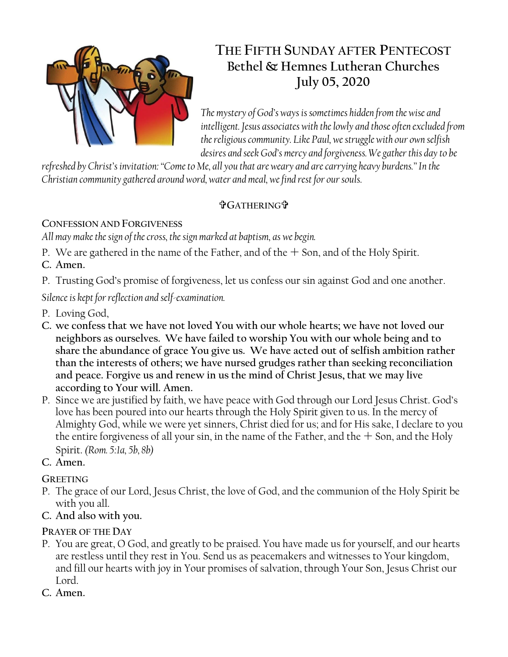

# **THE FIFTH SUNDAY AFTER PENTECOST Bethel & Hemnes Lutheran Churches July 05, 2020**

*The mystery of God's ways is sometimes hidden from the wise and intelligent. Jesus associates with the lowly and those often excluded from the religious community. Like Paul, we struggle with our own selfish desires and seek God's mercy and forgiveness. We gather this day to be* 

*refreshed by Christ's invitation: "Come to Me, all you that are weary and are carrying heavy burdens." In the Christian community gathered around word, water and meal, we find rest for our souls.*

## **GATHERING**

**CONFESSION AND FORGIVENESS**

*All may make the sign of the cross, the sign marked at baptism, as we begin.*

P. We are gathered in the name of the Father, and of the  $+$  Son, and of the Holy Spirit.

**C. Amen.**

P. Trusting God's promise of forgiveness, let us confess our sin against God and one another.

*Silence is kept for reflection and self-examination.*

- P. Loving God,
- **C. we confess that we have not loved You with our whole hearts; we have not loved our neighbors as ourselves. We have failed to worship You with our whole being and to share the abundance of grace You give us. We have acted out of selfish ambition rather than the interests of others; we have nursed grudges rather than seeking reconciliation and peace. Forgive us and renew in us the mind of Christ Jesus, that we may live according to Your will. Amen.**
- P. Since we are justified by faith, we have peace with God through our Lord Jesus Christ. God's love has been poured into our hearts through the Holy Spirit given to us. In the mercy of Almighty God, while we were yet sinners, Christ died for us; and for His sake, I declare to you the entire forgiveness of all your sin, in the name of the Father, and the  $+$  Son, and the Holy Spirit. *(Rom. 5:1a, 5b, 8b)*
- **C. Amen.**

## **GREETING**

- P. The grace of our Lord, Jesus Christ, the love of God, and the communion of the Holy Spirit be with you all.
- **C. And also with you.**

## **PRAYER OF THE DAY**

- P. You are great, O God, and greatly to be praised. You have made us for yourself, and our hearts are restless until they rest in You. Send us as peacemakers and witnesses to Your kingdom, and fill our hearts with joy in Your promises of salvation, through Your Son, Jesus Christ our Lord.
- **C. Amen.**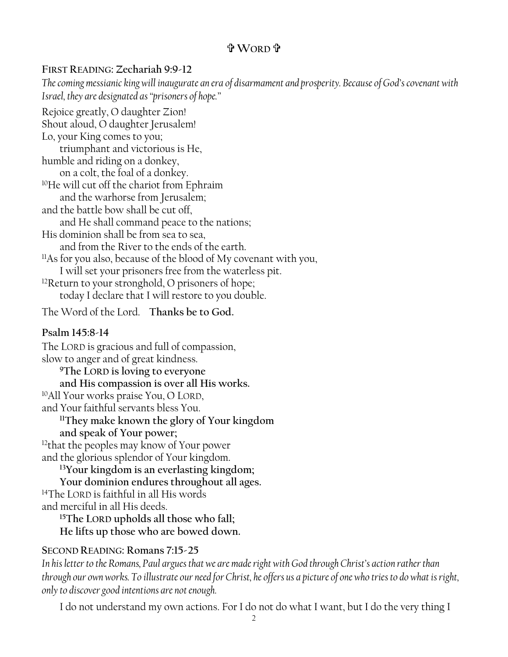## **WORD**

#### **FIRST READING: Zechariah 9:9-12**

*The coming messianic king will inaugurate an era of disarmament and prosperity. Because of God's covenant with Israel, they are designated as "prisoners of hope."* Rejoice greatly, O daughter Zion! Shout aloud, O daughter Jerusalem! Lo, your King comes to you; triumphant and victorious is He, humble and riding on a donkey, on a colt, the foal of a donkey. <sup>10</sup>He will cut off the chariot from Ephraim and the warhorse from Jerusalem; and the battle bow shall be cut off, and He shall command peace to the nations; His dominion shall be from sea to sea, and from the River to the ends of the earth. <sup>11</sup>As for you also, because of the blood of My covenant with you, I will set your prisoners free from the waterless pit. <sup>12</sup>Return to your stronghold, O prisoners of hope; today I declare that I will restore to you double. The Word of the Lord. **Thanks be to God.**

#### **Psalm 145:8-14**

The LORD is gracious and full of compassion, slow to anger and of great kindness. **<sup>9</sup>The LORD is loving to everyone and His compassion is over all His works.**  <sup>10</sup>All Your works praise You, O LORD, and Your faithful servants bless You. **<sup>11</sup>They make known the glory of Your kingdom and speak of Your power;** <sup>12</sup>that the peoples may know of Your power and the glorious splendor of Your kingdom. **<sup>13</sup>Your kingdom is an everlasting kingdom; Your dominion endures throughout all ages.**  <sup>14</sup>The LORD is faithful in all His words and merciful in all His deeds. **<sup>15</sup>The LORD upholds all those who fall; He lifts up those who are bowed down.** 

#### **SECOND READING: Romans 7:15-25**

*In his letter to the Romans, Paul argues that we are made right with God through Christ's action rather than through our own works. To illustrate our need for Christ, he offers us a picture of one who tries to do what is right, only to discover good intentions are not enough.*

I do not understand my own actions. For I do not do what I want, but I do the very thing I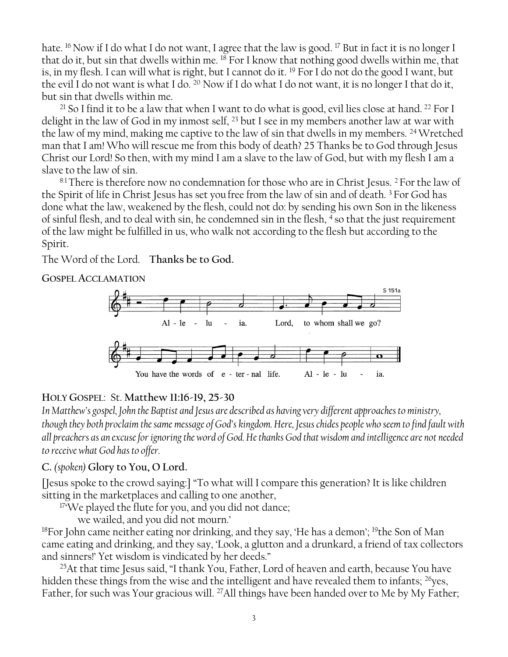hate. <sup>16</sup> Now if I do what I do not want, I agree that the law is good. <sup>17</sup> But in fact it is no longer I that do it, but sin that dwells within me. <sup>18</sup> For I know that nothing good dwells within me, that is, in my flesh. I can will what is right, but I cannot do it. <sup>19</sup> For I do not do the good I want, but the evil I do not want is what I do. <sup>20</sup> Now if I do what I do not want, it is no longer I that do it, but sin that dwells within me.

<sup>21</sup> So I find it to be a law that when I want to do what is good, evil lies close at hand. <sup>22</sup> For I delight in the law of God in my inmost self, <sup>23</sup> but I see in my members another law at war with the law of my mind, making me captive to the law of sin that dwells in my members. <sup>24</sup>Wretched man that I am! Who will rescue me from this body of death? 25 Thanks be to God through Jesus Christ our Lord! So then, with my mind I am a slave to the law of God, but with my flesh I am a slave to the law of sin.

 $8:1$  There is therefore now no condemnation for those who are in Christ Jesus.  $2$  For the law of the Spirit of life in Christ Jesus has set you free from the law of sin and of death. <sup>3</sup> For God has done what the law, weakened by the flesh, could not do: by sending his own Son in the likeness of sinful flesh, and to deal with sin, he condemned sin in the flesh, <sup>4</sup> so that the just requirement of the law might be fulfilled in us, who walk not according to the flesh but according to the Spirit.

The Word of the Lord. **Thanks be to God.**

**GOSPEL ACCLAMATION**



#### **HOLY GOSPEL**: St. **Matthew 11:16-19, 25-30**

*In Matthew's gospel, John the Baptist and Jesus are described as having very different approaches to ministry, though they both proclaim the same message of God's kingdom. Here, Jesus chides people who seem to find fault with all preachers as an excuse for ignoring the word of God. He thanks God that wisdom and intelligence are not needed to receive what God has to offer.*

#### **C.** *(spoken)* **Glory to You, O Lord.**

[Jesus spoke to the crowd saying:] "To what will I compare this generation? It is like children sitting in the marketplaces and calling to one another,

<sup>17</sup>We played the flute for you, and you did not dance;

we wailed, and you did not mourn.'

<sup>18</sup>For John came neither eating nor drinking, and they say, 'He has a demon'; <sup>19</sup>the Son of Man came eating and drinking, and they say, 'Look, a glutton and a drunkard, a friend of tax collectors and sinners!' Yet wisdom is vindicated by her deeds."

<sup>25</sup>At that time Jesus said, "I thank You, Father, Lord of heaven and earth, because You have hidden these things from the wise and the intelligent and have revealed them to infants; <sup>26</sup>yes, Father, for such was Your gracious will. <sup>27</sup>All things have been handed over to Me by My Father;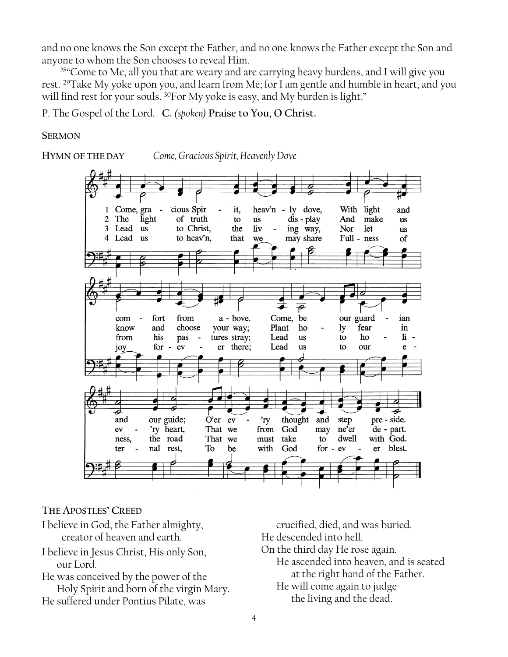and no one knows the Son except the Father, and no one knows the Father except the Son and anyone to whom the Son chooses to reveal Him.

<sup>28</sup> Come to Me, all you that are weary and are carrying heavy burdens, and I will give you rest. <sup>29</sup>Take My yoke upon you, and learn from Me; for I am gentle and humble in heart, and you will find rest for your souls. <sup>30</sup>For My yoke is easy, and My burden is light."

P. The Gospel of the Lord. **C.** *(spoken)* **Praise to You, O Christ.**

#### **SERMON**

**HYMN OF THE DAY** *Come, Gracious Spirit, Heavenly Dove* 



**THE APOSTLES' CREED**

I believe in God, the Father almighty, creator of heaven and earth.

I believe in Jesus Christ, His only Son, our Lord.

He was conceived by the power of the Holy Spirit and born of the virgin Mary. He suffered under Pontius Pilate, was

crucified, died, and was buried. He descended into hell. On the third day He rose again. He ascended into heaven, and is seated at the right hand of the Father. He will come again to judge the living and the dead.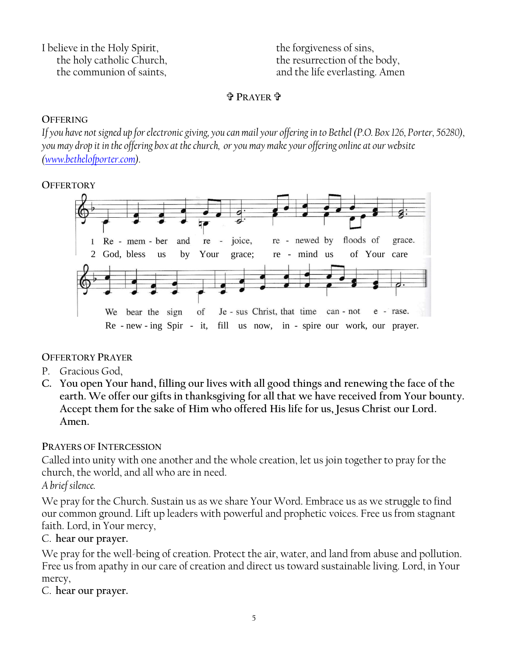I believe in the Holy Spirit, the holy catholic Church, the communion of saints,

the forgiveness of sins, the resurrection of the body, and the life everlasting. Amen

#### **<sup>P</sup>RAYER** .

#### **OFFERING**

*If you have not signed up for electronic giving, you can mail your offering in to Bethel (P.O. Box 126, Porter, 56280), you may drop it in the offering box at the church, or you may make your offering online at our website [\(www.bethelofporter.com\)](http://www.bethelofporter.com/).* 

#### **OFFERTORY**



#### **OFFERTORY PRAYER**

- P. Gracious God,
- **C. You open Your hand, filling our lives with all good things and renewing the face of the earth. We offer our gifts in thanksgiving for all that we have received from Your bounty. Accept them for the sake of Him who offered His life for us, Jesus Christ our Lord. Amen.**

#### **PRAYERS OF INTERCESSION**

Called into unity with one another and the whole creation, let us join together to pray for the church, the world, and all who are in need.

*A brief silence.*

We pray for the Church. Sustain us as we share Your Word. Embrace us as we struggle to find our common ground. Lift up leaders with powerful and prophetic voices. Free us from stagnant faith. Lord, in Your mercy,

#### C. **hear our prayer.**

We pray for the well-being of creation. Protect the air, water, and land from abuse and pollution. Free us from apathy in our care of creation and direct us toward sustainable living. Lord, in Your mercy,

C. **hear our prayer.**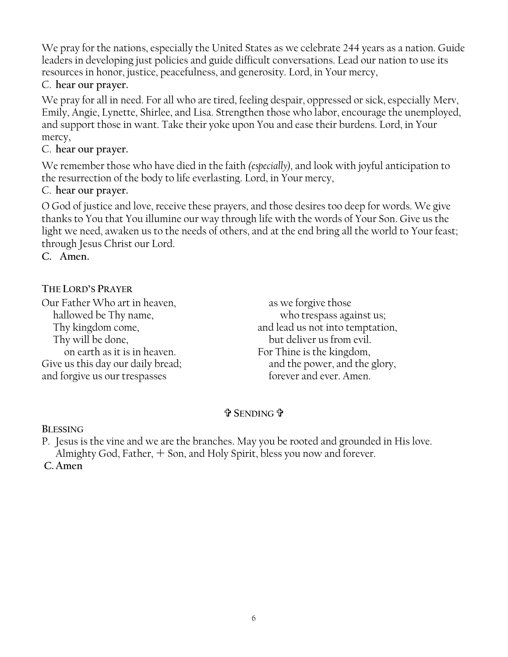We pray for the nations, especially the United States as we celebrate 244 years as a nation. Guide leaders in developing just policies and guide difficult conversations. Lead our nation to use its resources in honor, justice, peacefulness, and generosity. Lord, in Your mercy,

#### C. **hear our prayer.**

We pray for all in need. For all who are tired, feeling despair, oppressed or sick, especially Merv, Emily, Angie, Lynette, Shirlee, and Lisa. Strengthen those who labor, encourage the unemployed, and support those in want. Take their yoke upon You and ease their burdens. Lord, in Your mercy,

### C. **hear our prayer.**

We remember those who have died in the faith *(especially),* and look with joyful anticipation to the resurrection of the body to life everlasting. Lord, in Your mercy,

### C. **hear our prayer.**

O God of justice and love, receive these prayers, and those desires too deep for words. We give thanks to You that You illumine our way through life with the words of Your Son. Give us the light we need, awaken us to the needs of others, and at the end bring all the world to Your feast; through Jesus Christ our Lord.

**C. Amen.**

## **THE LORD'S PRAYER**

Our Father Who art in heaven, hallowed be Thy name, Thy kingdom come, Thy will be done, on earth as it is in heaven. Give us this day our daily bread; and forgive us our trespasses

as we forgive those who trespass against us; and lead us not into temptation, but deliver us from evil. For Thine is the kingdom, and the power, and the glory, forever and ever. Amen.

## **SENDING**

**BLESSING**

P. Jesus is the vine and we are the branches. May you be rooted and grounded in His love. Almighty God, Father,  $+$  Son, and Holy Spirit, bless you now and forever.

C. Amen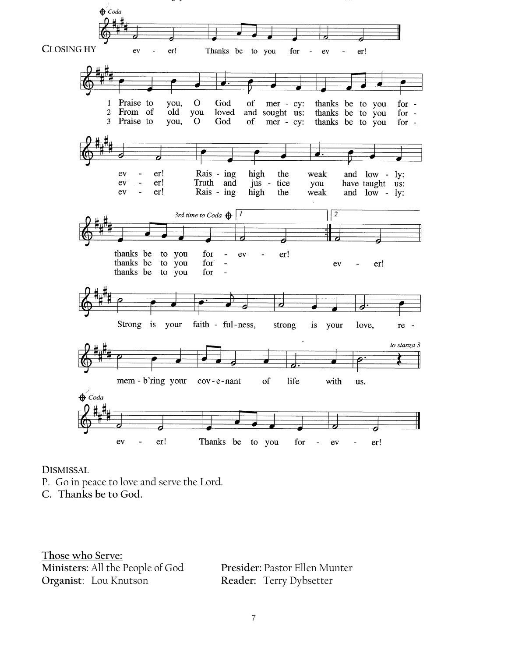

#### **DISMISSAL**

- P. Go in peace to love and serve the Lord.
- **C. Thanks be to God.**

**Those who Serve: Ministers:** All the People of God **Presider:** Pastor Ellen Munter

Reader: Terry Dybsetter